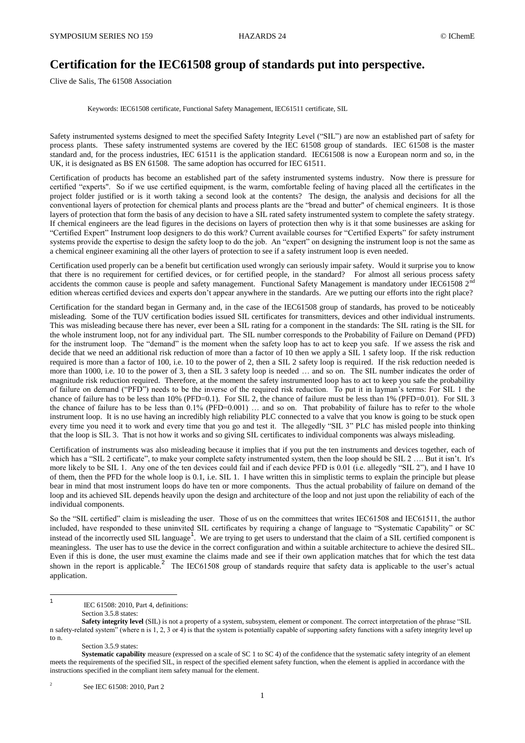## **Certification for the IEC61508 group of standards put into perspective.**

Clive de Salis, The 61508 Association

Keywords: IEC61508 certificate, Functional Safety Management, IEC61511 certificate, SIL

Safety instrumented systems designed to meet the specified Safety Integrity Level ("SIL") are now an established part of safety for process plants. These safety instrumented systems are covered by the IEC 61508 group of standards. IEC 61508 is the master standard and, for the process industries, IEC 61511 is the application standard. IEC61508 is now a European norm and so, in the UK, it is designated as BS EN 61508. The same adoption has occurred for IEC 61511.

Certification of products has become an established part of the safety instrumented systems industry. Now there is pressure for certified "experts". So if we use certified equipment, is the warm, comfortable feeling of having placed all the certificates in the project folder justified or is it worth taking a second look at the contents? The design, the analysis and decisions for all the conventional layers of protection for chemical plants and process plants are the "bread and butter" of chemical engineers. It is those layers of protection that form the basis of any decision to have a SIL rated safety instrumented system to complete the safety strategy. If chemical engineers are the lead figures in the decisions on layers of protection then why is it that some businesses are asking for "Certified Expert" Instrument loop designers to do this work? Current available courses for "Certified Experts" for safety instrument systems provide the expertise to design the safety loop to do the job. An "expert" on designing the instrument loop is not the same as a chemical engineer examining all the other layers of protection to see if a safety instrument loop is even needed.

Certification used properly can be a benefit but certification used wrongly can seriously impair safety. Would it surprise you to know that there is no requirement for certified devices, or for certified people, in the standard? For almost all serious process safety accidents the common cause is people and safety management. Functional Safety Management is mandatory under IEC61508  $2<sup>nd</sup>$ edition whereas certified devices and experts don't appear anywhere in the standards. Are we putting our efforts into the right place?

Certification for the standard began in Germany and, in the case of the IEC61508 group of standards, has proved to be noticeably misleading. Some of the TUV certification bodies issued SIL certificates for transmitters, devices and other individual instruments. This was misleading because there has never, ever been a SIL rating for a component in the standards: The SIL rating is the SIL for the whole instrument loop, not for any individual part. The SIL number corresponds to the Probability of Failure on Demand (PFD) for the instrument loop. The "demand" is the moment when the safety loop has to act to keep you safe. If we assess the risk and decide that we need an additional risk reduction of more than a factor of 10 then we apply a SIL 1 safety loop. If the risk reduction required is more than a factor of 100, i.e. 10 to the power of 2, then a SIL 2 safety loop is required. If the risk reduction needed is more than 1000, i.e. 10 to the power of 3, then a SIL 3 safety loop is needed ... and so on. The SIL number indicates the order of magnitude risk reduction required. Therefore, at the moment the safety instrumented loop has to act to keep you safe the probability of failure on demand ("PFD") needs to be the inverse of the required risk reduction. To put it in layman's terms: For SIL 1 the chance of failure has to be less than 10% (PFD=0.1). For SIL 2, the chance of failure must be less than 1% (PFD=0.01). For SIL 3 the chance of failure has to be less than 0.1% (PFD=0.001) … and so on. That probability of failure has to refer to the whole instrument loop. It is no use having an incredibly high reliability PLC connected to a valve that you know is going to be stuck open every time you need it to work and every time that you go and test it. The allegedly "SIL 3" PLC has misled people into thinking that the loop is SIL 3. That is not how it works and so giving SIL certificates to individual components was always misleading.

Certification of instruments was also misleading because it implies that if you put the ten instruments and devices together, each of which has a "SIL 2 certificate", to make your complete safety instrumented system, then the loop should be SIL 2 .... But it isn't. It's more likely to be SIL 1. Any one of the ten devices could fail and if each device PFD is 0.01 (i.e. allegedly "SIL 2"), and I have 10 of them, then the PFD for the whole loop is 0.1, i.e. SIL 1. I have written this in simplistic terms to explain the principle but please bear in mind that most instrument loops do have ten or more components. Thus the actual probability of failure on demand of the loop and its achieved SIL depends heavily upon the design and architecture of the loop and not just upon the reliability of each of the individual components.

So the "SIL certified" claim is misleading the user. Those of us on the committees that writes IEC61508 and IEC61511, the author included, have responded to these uninvited SIL certificates by requiring a change of language to "Systematic Capability" or SC instead of the incorrectly used SIL language<sup>1</sup>. We are trying to get users to understand that the claim of a SIL certified component is meaningless. The user has to use the device in the correct configuration and within a suitable architecture to achieve the desired SIL. Even if this is done, the user must examine the claims made and see if their own application matches that for which the test data shown in the report is applicable.<sup>2</sup> The IEC61508 group of standards require that safety data is applicable to the user's actual application.

IEC 61508: 2010, Part 4, definitions:

Section 3.5.8 states:

 $\frac{1}{1}$ 

 $\overline{2}$ See IEC 61508: 2010, Part 2

**Safety integrity level** (SIL) is not a property of a system, subsystem, element or component. The correct interpretation of the phrase "SIL n safety-related system" (where n is 1, 2, 3 or 4) is that the system is potentially capable of supporting safety functions with a safety integrity level up to n.

Section 3.5.9 states:

**Systematic capability** measure (expressed on a scale of SC 1 to SC 4) of the confidence that the systematic safety integrity of an element meets the requirements of the specified SIL, in respect of the specified element safety function, when the element is applied in accordance with the instructions specified in the compliant item safety manual for the element.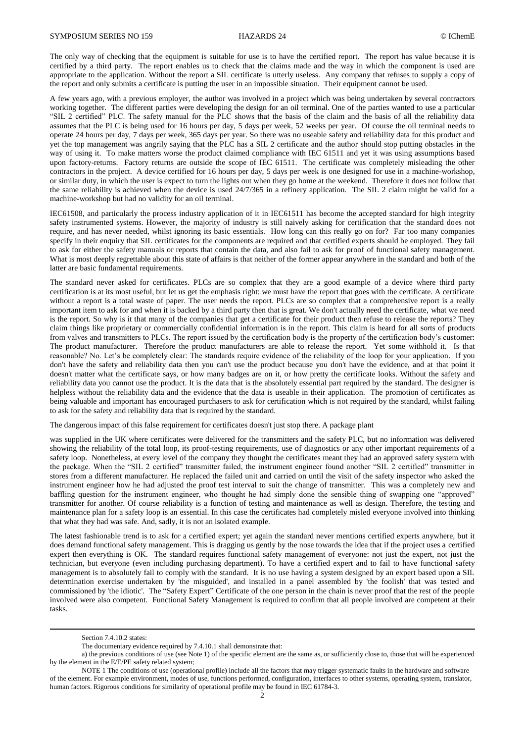The only way of checking that the equipment is suitable for use is to have the certified report. The report has value because it is certified by a third party. The report enables us to check that the claims made and the way in which the component is used are appropriate to the application. Without the report a SIL certificate is utterly useless. Any company that refuses to supply a copy of the report and only submits a certificate is putting the user in an impossible situation. Their equipment cannot be used.

A few years ago, with a previous employer, the author was involved in a project which was being undertaken by several contractors working together. The different parties were developing the design for an oil terminal. One of the parties wanted to use a particular "SIL 2 certified" PLC. The safety manual for the PLC shows that the basis of the claim and the basis of all the reliability data assumes that the PLC is being used for 16 hours per day, 5 days per week, 52 weeks per year. Of course the oil terminal needs to operate 24 hours per day, 7 days per week, 365 days per year. So there was no useable safety and reliability data for this product and yet the top management was angrily saying that the PLC has a SIL 2 certificate and the author should stop putting obstacles in the way of using it. To make matters worse the product claimed compliance with IEC 61511 and yet it was using assumptions based upon factory-returns. Factory returns are outside the scope of IEC 61511. The certificate was completely misleading the other contractors in the project. A device certified for 16 hours per day, 5 days per week is one designed for use in a machine-workshop, or similar duty, in which the user is expect to turn the lights out when they go home at the weekend. Therefore it does not follow that the same reliability is achieved when the device is used 24/7/365 in a refinery application. The SIL 2 claim might be valid for a machine-workshop but had no validity for an oil terminal.

IEC61508, and particularly the process industry application of it in IEC61511 has become the accepted standard for high integrity safety instrumented systems. However, the majority of industry is still naively asking for certification that the standard does not require, and has never needed, whilst ignoring its basic essentials. How long can this really go on for? Far too many companies specify in their enquiry that SIL certificates for the components are required and that certified experts should be employed. They fail to ask for either the safety manuals or reports that contain the data, and also fail to ask for proof of functional safety management. What is most deeply regrettable about this state of affairs is that neither of the former appear anywhere in the standard and both of the latter are basic fundamental requirements.

The standard never asked for certificates. PLCs are so complex that they are a good example of a device where third party certification is at its most useful, but let us get the emphasis right: we must have the report that goes with the certificate. A certificate without a report is a total waste of paper. The user needs the report. PLCs are so complex that a comprehensive report is a really important item to ask for and when it is backed by a third party then that is great. We don't actually need the certificate, what we need is the report. So why is it that many of the companies that get a certificate for their product then refuse to release the reports? They claim things like proprietary or commercially confidential information is in the report. This claim is heard for all sorts of products from valves and transmitters to PLCs. The report issued by the certification body is the property of the certification body's customer: The product manufacturer. Therefore the product manufacturers are able to release the report. Yet some withhold it. Is that reasonable? No. Let's be completely clear: The standards require evidence of the reliability of the loop for your application. If you don't have the safety and reliability data then you can't use the product because you don't have the evidence, and at that point it doesn't matter what the certificate says, or how many badges are on it, or how pretty the certificate looks. Without the safety and reliability data you cannot use the product. It is the data that is the absolutely essential part required by the standard. The designer is helpless without the reliability data and the evidence that the data is useable in their application. The promotion of certificates as being valuable and important has encouraged purchasers to ask for certification which is not required by the standard, whilst failing to ask for the safety and reliability data that is required by the standard.

The dangerous impact of this false requirement for certificates doesn't just stop there. A package plant

was supplied in the UK where certificates were delivered for the transmitters and the safety PLC, but no information was delivered showing the reliability of the total loop, its proof-testing requirements, use of diagnostics or any other important requirements of a safety loop. Nonetheless, at every level of the company they thought the certificates meant they had an approved safety system with the package. When the "SIL 2 certified" transmitter failed, the instrument engineer found another "SIL 2 certified" transmitter in stores from a different manufacturer. He replaced the failed unit and carried on until the visit of the safety inspector who asked the instrument engineer how he had adjusted the proof test interval to suit the change of transmitter. This was a completely new and baffling question for the instrument engineer, who thought he had simply done the sensible thing of swapping one "approved" transmitter for another. Of course reliability is a function of testing and maintenance as well as design. Therefore, the testing and maintenance plan for a safety loop is an essential. In this case the certificates had completely misled everyone involved into thinking that what they had was safe. And, sadly, it is not an isolated example.

The latest fashionable trend is to ask for a certified expert; yet again the standard never mentions certified experts anywhere, but it does demand functional safety management. This is dragging us gently by the nose towards the idea that if the project uses a certified expert then everything is OK. The standard requires functional safety management of everyone: not just the expert, not just the technician, but everyone (even including purchasing department). To have a certified expert and to fail to have functional safety management is to absolutely fail to comply with the standard. It is no use having a system designed by an expert based upon a SIL determination exercise undertaken by 'the misguided', and installed in a panel assembled by 'the foolish' that was tested and commissioned by 'the idiotic'. The "Safety Expert" Certificate of the one person in the chain is never proof that the rest of the people involved were also competent. Functional Safety Management is required to confirm that all people involved are competent at their tasks.

**.** 

Section 7.4.10.2 states:

The documentary evidence required by 7.4.10.1 shall demonstrate that:

a) the previous conditions of use (see Note 1) of the specific element are the same as, or sufficiently close to, those that will be experienced by the element in the E/E/PE safety related system;

NOTE 1 The conditions of use (operational profile) include all the factors that may trigger systematic faults in the hardware and software of the element. For example environment, modes of use, functions performed, configuration, interfaces to other systems, operating system, translator, human factors. Rigorous conditions for similarity of operational profile may be found in IEC 61784-3.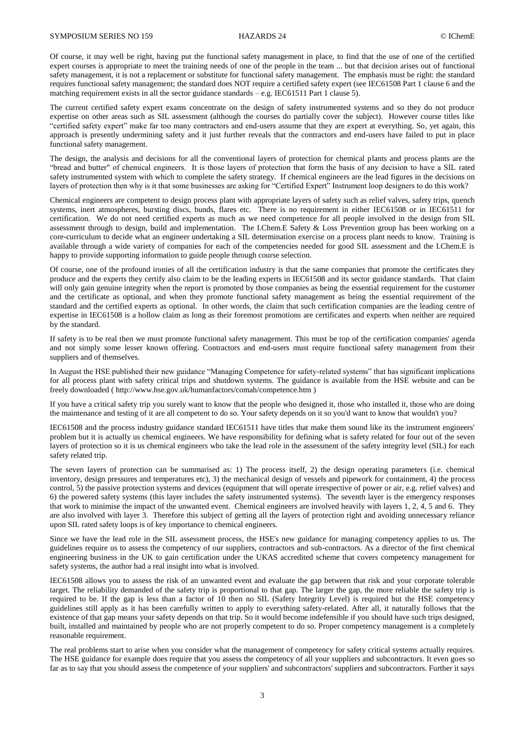Of course, it may well be right, having put the functional safety management in place, to find that the use of one of the certified expert courses is appropriate to meet the training needs of one of the people in the team ... but that decision arises out of functional safety management, it is not a replacement or substitute for functional safety management. The emphasis must be right: the standard requires functional safety management; the standard does NOT require a certified safety expert (see IEC61508 Part 1 clause 6 and the matching requirement exists in all the sector guidance standards  $-e.g.$  IEC61511 Part 1 clause 5).

The current certified safety expert exams concentrate on the design of safety instrumented systems and so they do not produce expertise on other areas such as SIL assessment (although the courses do partially cover the subject). However course titles like "certified safety expert" make far too many contractors and end-users assume that they are expert at everything. So, yet again, this approach is presently undermining safety and it just further reveals that the contractors and end-users have failed to put in place functional safety management.

The design, the analysis and decisions for all the conventional layers of protection for chemical plants and process plants are the "bread and butter" of chemical engineers. It is those layers of protection that form the basis of any decision to have a SIL rated safety instrumented system with which to complete the safety strategy. If chemical engineers are the lead figures in the decisions on layers of protection then why is it that some businesses are asking for "Certified Expert" Instrument loop designers to do this work?

Chemical engineers are competent to design process plant with appropriate layers of safety such as relief valves, safety trips, quench systems, inert atmospheres, bursting discs, bunds, flares etc. There is no requirement in either IEC61508 or in IEC61511 for certification. We do not need certified experts as much as we need competence for all people involved in the design from SIL assessment through to design, build and implementation. The I.Chem.E Safety & Loss Prevention group has been working on a core-curriculum to decide what an engineer undertaking a SIL determination exercise on a process plant needs to know. Training is available through a wide variety of companies for each of the competencies needed for good SIL assessment and the I.Chem.E is happy to provide supporting information to guide people through course selection.

Of course, one of the profound ironies of all the certification industry is that the same companies that promote the certificates they produce and the experts they certify also claim to be the leading experts in IEC61508 and its sector guidance standards. That claim will only gain genuine integrity when the report is promoted by those companies as being the essential requirement for the customer and the certificate as optional, and when they promote functional safety management as being the essential requirement of the standard and the certified experts as optional. In other words, the claim that such certification companies are the leading centre of expertise in IEC61508 is a hollow claim as long as their foremost promotions are certificates and experts when neither are required by the standard.

If safety is to be real then we must promote functional safety management. This must be top of the certification companies' agenda and not simply some lesser known offering. Contractors and end-users must require functional safety management from their suppliers and of themselves.

In August the HSE published their new guidance "Managing Competence for safety-related systems" that has significant implications for all process plant with safety critical trips and shutdown systems. The guidance is available from the HSE website and can be freely downloaded [\( http://www.hse.gov.uk/humanfactors/comah/competence.htm](http://www.hse.gov.uk/humanfactors/comah/competence.htm) )

If you have a critical safety trip you surely want to know that the people who designed it, those who installed it, those who are doing the maintenance and testing of it are all competent to do so. Your safety depends on it so you'd want to know that wouldn't you?

IEC61508 and the process industry guidance standard IEC61511 have titles that make them sound like its the instrument engineers' problem but it is actually us chemical engineers. We have responsibility for defining what is safety related for four out of the seven layers of protection so it is us chemical engineers who take the lead role in the assessment of the safety integrity level (SIL) for each safety related trip.

The seven layers of protection can be summarised as: 1) The process itself, 2) the design operating parameters (i.e. chemical inventory, design pressures and temperatures etc), 3) the mechanical design of vessels and pipework for containment, 4) the process control, 5) the passive protection systems and devices (equipment that will operate irrespective of power or air, e.g. relief valves) and 6) the powered safety systems (this layer includes the safety instrumented systems). The seventh layer is the emergency responses that work to minimise the impact of the unwanted event. Chemical engineers are involved heavily with layers 1, 2, 4, 5 and 6. They are also involved with layer 3. Therefore this subject of getting all the layers of protection right and avoiding unnecessary reliance upon SIL rated safety loops is of key importance to chemical engineers.

Since we have the lead role in the SIL assessment process, the HSE's new guidance for managing competency applies to us. The guidelines require us to assess the competency of our suppliers, contractors and sub-contractors. As a director of the first chemical engineering business in the UK to gain certification under the UKAS accredited scheme that covers competency management for safety systems, the author had a real insight into what is involved.

IEC61508 allows you to assess the risk of an unwanted event and evaluate the gap between that risk and your corporate tolerable target. The reliability demanded of the safety trip is proportional to that gap. The larger the gap, the more reliable the safety trip is required to be. If the gap is less than a factor of 10 then no SIL (Safety Integrity Level) is required but the HSE competency guidelines still apply as it has been carefully written to apply to everything safety-related. After all, it naturally follows that the existence of that gap means your safety depends on that trip. So it would become indefensible if you should have such trips designed, built, installed and maintained by people who are not properly competent to do so. Proper competency management is a completely reasonable requirement.

The real problems start to arise when you consider what the management of competency for safety critical systems actually requires. The HSE guidance for example does require that you assess the competency of all your suppliers and subcontractors. It even goes so far as to say that you should assess the competence of your suppliers' and subcontractors' suppliers and subcontractors. Further it says